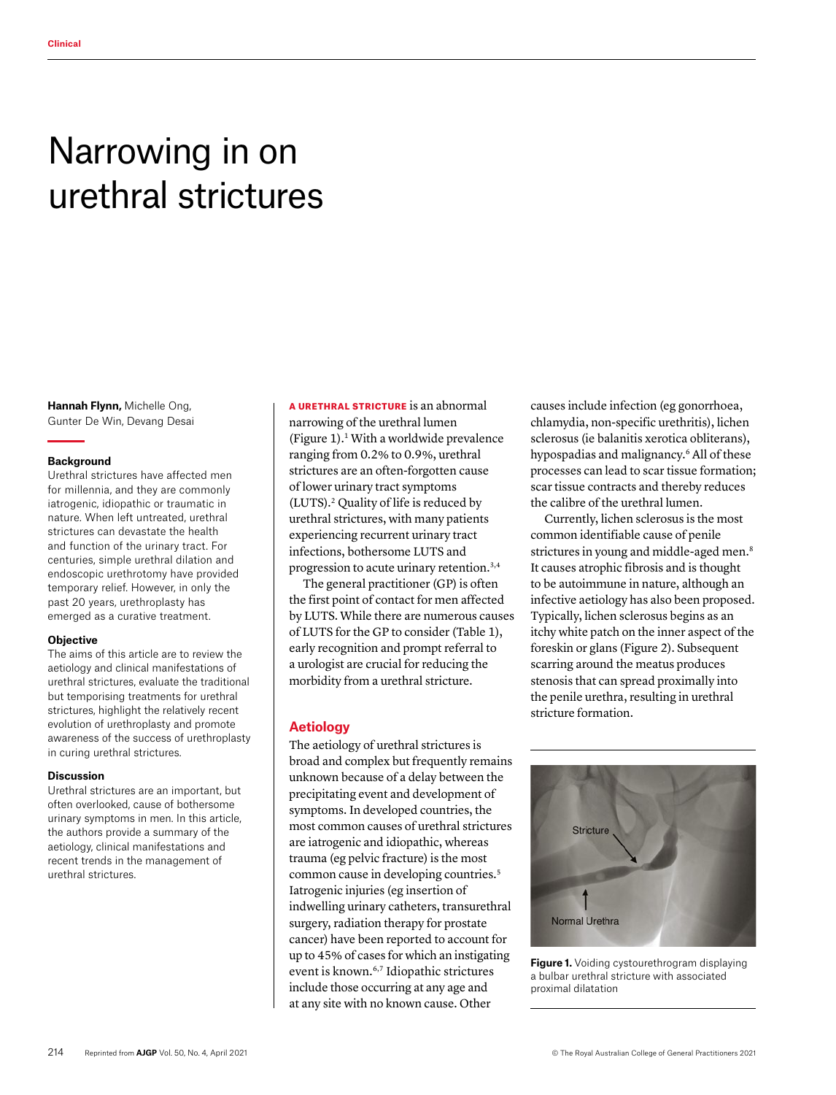# Narrowing in on urethral strictures

**Hannah Flynn,** Michelle Ong, Gunter De Win, Devang Desai

#### **Background**

Urethral strictures have affected men for millennia, and they are commonly iatrogenic, idiopathic or traumatic in nature. When left untreated, urethral strictures can devastate the health and function of the urinary tract. For centuries, simple urethral dilation and endoscopic urethrotomy have provided temporary relief. However, in only the past 20 years, urethroplasty has emerged as a curative treatment.

#### **Objective**

The aims of this article are to review the aetiology and clinical manifestations of urethral strictures, evaluate the traditional but temporising treatments for urethral strictures, highlight the relatively recent evolution of urethroplasty and promote awareness of the success of urethroplasty in curing urethral strictures.

#### **Discussion**

Urethral strictures are an important, but often overlooked, cause of bothersome urinary symptoms in men. In this article, the authors provide a summary of the aetiology, clinical manifestations and recent trends in the management of urethral strictures.

A URETHRAL STRICTURE is an abnormal narrowing of the urethral lumen (Figure 1).1 With a worldwide prevalence ranging from 0.2% to 0.9%, urethral strictures are an often-forgotten cause of lower urinary tract symptoms (LUTS).2 Quality of life is reduced by urethral strictures, with many patients experiencing recurrent urinary tract infections, bothersome LUTS and progression to acute urinary retention.3,4

The general practitioner (GP) is often the first point of contact for men affected by LUTS. While there are numerous causes of LUTS for the GP to consider (Table 1), early recognition and prompt referral to a urologist are crucial for reducing the morbidity from a urethral stricture.

# **Aetiology**

The aetiology of urethral strictures is broad and complex but frequently remains unknown because of a delay between the precipitating event and development of symptoms. In developed countries, the most common causes of urethral strictures are iatrogenic and idiopathic, whereas trauma (eg pelvic fracture) is the most common cause in developing countries.<sup>5</sup> Iatrogenic injuries (eg insertion of indwelling urinary catheters, transurethral surgery, radiation therapy for prostate cancer) have been reported to account for up to 45% of cases for which an instigating event is known.6,7 Idiopathic strictures include those occurring at any age and at any site with no known cause. Other

causes include infection (eg gonorrhoea, chlamydia, non-specific urethritis), lichen sclerosus (ie balanitis xerotica obliterans), hypospadias and malignancy.6 All of these processes can lead to scar tissue formation; scar tissue contracts and thereby reduces the calibre of the urethral lumen.

Currently, lichen sclerosus is the most common identifiable cause of penile strictures in young and middle-aged men.<sup>8</sup> It causes atrophic fibrosis and is thought to be autoimmune in nature, although an infective aetiology has also been proposed. Typically, lichen sclerosus begins as an itchy white patch on the inner aspect of the foreskin or glans (Figure 2). Subsequent scarring around the meatus produces stenosis that can spread proximally into the penile urethra, resulting in urethral stricture formation.



**Figure 1.** Voiding cystourethrogram displaying a bulbar urethral stricture with associated proximal dilatation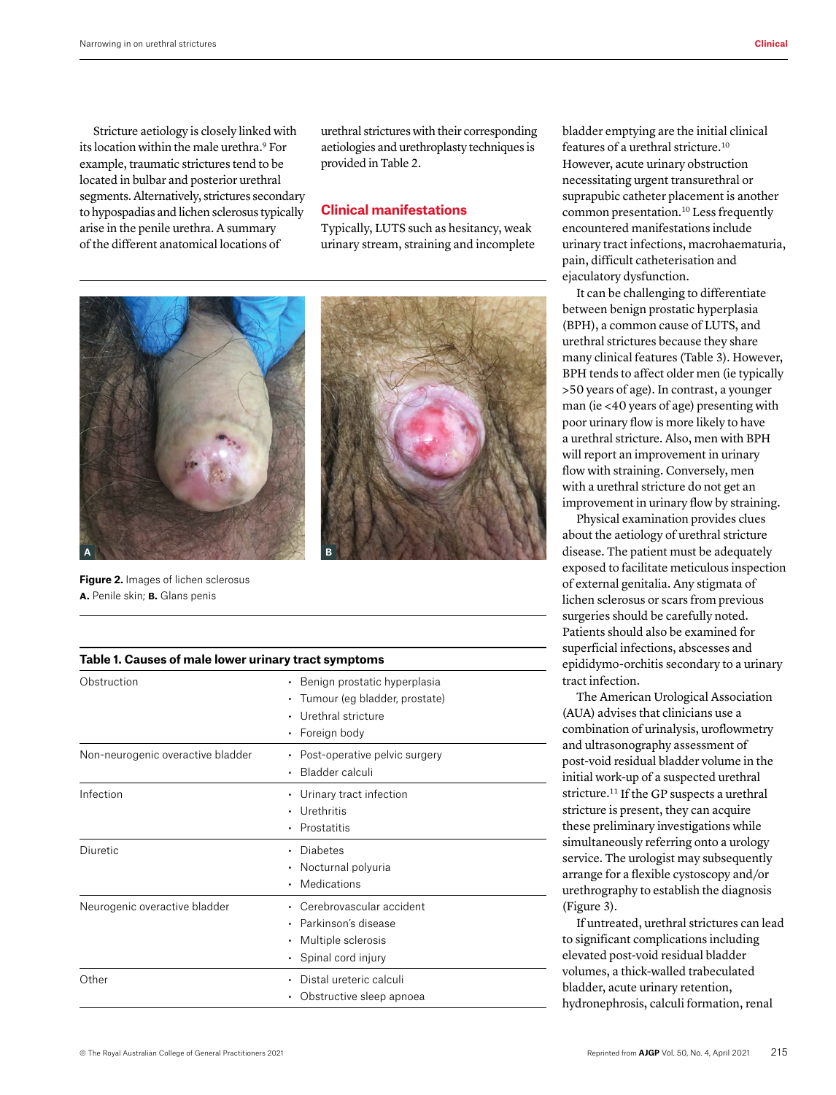Stricture aetiology is closely linked with its location within the male urethra.9 For example, traumatic strictures tend to be located in bulbar and posterior urethral segments. Alternatively, strictures secondary to hypospadias and lichen sclerosus typically arise in the penile urethra. A summary of the different anatomical locations of

urethral strictures with their corresponding aetiologies and urethroplasty techniques is provided in Table 2.

#### **Clinical manifestations**

Typically, LUTS such as hesitancy, weak urinary stream, straining and incomplete



**Figure 2.** Images of lichen sclerosus **a.** Penile skin; **b.** Glans penis

|  | Table 1. Causes of male lower urinary tract symptoms |  |  |  |  |
|--|------------------------------------------------------|--|--|--|--|
|--|------------------------------------------------------|--|--|--|--|

| Obstruction                       | Benign prostatic hyperplasia<br>$\bullet$<br>• Tumour (eg bladder, prostate)<br>Urethral stricture<br>• Foreign body |
|-----------------------------------|----------------------------------------------------------------------------------------------------------------------|
| Non-neurogenic overactive bladder | • Post-operative pelvic surgery<br>Bladder calculi                                                                   |
| Infection                         | • Urinary tract infection<br>Urethritis<br>Prostatitis                                                               |
| Diuretic                          | Diabetes<br>• Nocturnal polyuria<br>Medications                                                                      |
| Neurogenic overactive bladder     | • Cerebrovascular accident<br>Parkinson's disease<br>• Multiple sclerosis<br>• Spinal cord injury                    |
| Other                             | Distal ureteric calculi<br>Obstructive sleep apnoea                                                                  |

bladder emptying are the initial clinical features of a urethral stricture.10 However, acute urinary obstruction necessitating urgent transurethral or suprapubic catheter placement is another common presentation.10 Less frequently encountered manifestations include urinary tract infections, macrohaematuria, pain, difficult catheterisation and ejaculatory dysfunction.

It can be challenging to differentiate between benign prostatic hyperplasia (BPH), a common cause of LUTS, and urethral strictures because they share many clinical features (Table 3). However, BPH tends to affect older men (ie typically >50 years of age). In contrast, a younger man (ie <40 years of age) presenting with poor urinary flow is more likely to have a urethral stricture. Also, men with BPH will report an improvement in urinary flow with straining. Conversely, men with a urethral stricture do not get an improvement in urinary flow by straining.

Physical examination provides clues about the aetiology of urethral stricture disease. The patient must be adequately exposed to facilitate meticulous inspection of external genitalia. Any stigmata of lichen sclerosus or scars from previous surgeries should be carefully noted. Patients should also be examined for superficial infections, abscesses and epididymo-orchitis secondary to a urinary tract infection.

The American Urological Association (AUA) advises that clinicians use a combination of urinalysis, uroflowmetry and ultrasonography assessment of post-void residual bladder volume in the initial work-up of a suspected urethral stricture.<sup>11</sup> If the GP suspects a urethral stricture is present, they can acquire these preliminary investigations while simultaneously referring onto a urology service. The urologist may subsequently arrange for a flexible cystoscopy and/or urethrography to establish the diagnosis (Figure 3).

If untreated, urethral strictures can lead to significant complications including elevated post-void residual bladder volumes, a thick-walled trabeculated bladder, acute urinary retention, hydronephrosis, calculi formation, renal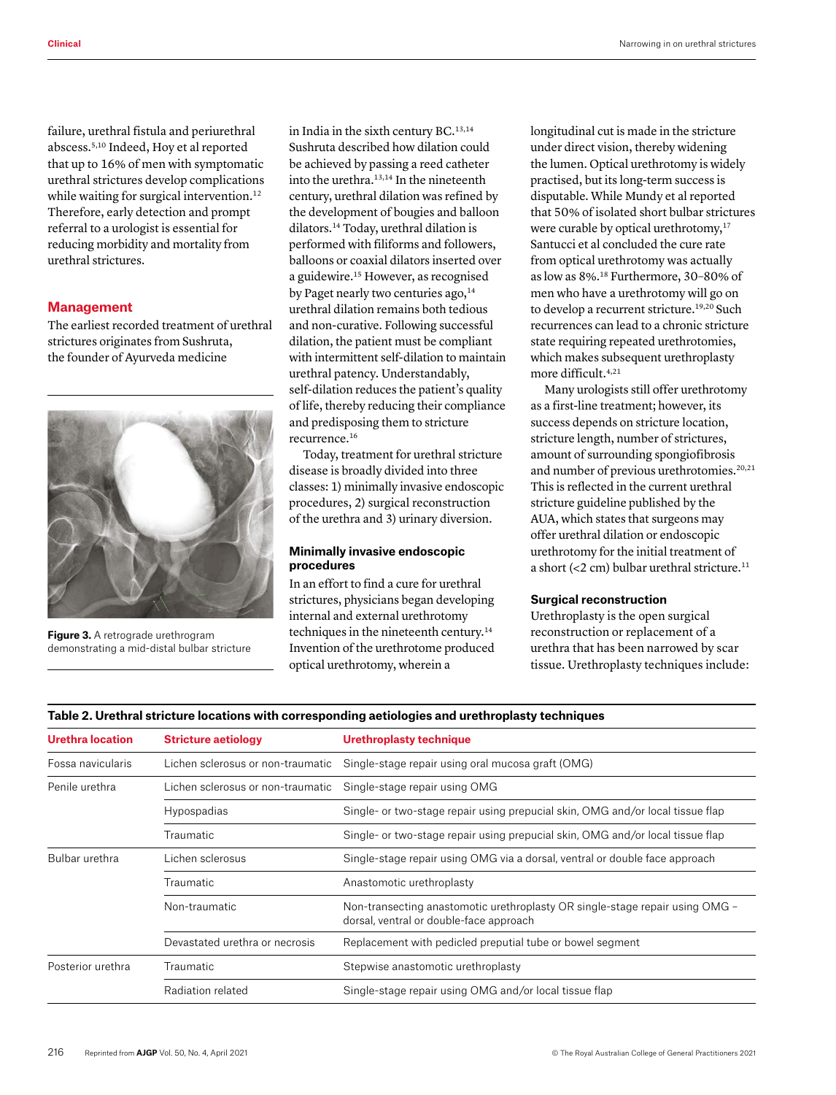failure, urethral fistula and periurethral abscess.5,10 Indeed, Hoy et al reported that up to 16% of men with symptomatic urethral strictures develop complications while waiting for surgical intervention.<sup>12</sup> Therefore, early detection and prompt referral to a urologist is essential for reducing morbidity and mortality from urethral strictures.

## **Management**

The earliest recorded treatment of urethral strictures originates from Sushruta, the founder of Ayurveda medicine



**Figure 3.** A retrograde urethrogram demonstrating a mid-distal bulbar stricture

in India in the sixth century BC.13,14 Sushruta described how dilation could be achieved by passing a reed catheter into the urethra.13,14 In the nineteenth century, urethral dilation was refined by the development of bougies and balloon dilators.14 Today, urethral dilation is performed with filiforms and followers, balloons or coaxial dilators inserted over a guidewire.15 However, as recognised by Paget nearly two centuries ago,<sup>14</sup> urethral dilation remains both tedious and non-curative. Following successful dilation, the patient must be compliant with intermittent self-dilation to maintain urethral patency. Understandably, self-dilation reduces the patient's quality of life, thereby reducing their compliance and predisposing them to stricture recurrence.16

Today, treatment for urethral stricture disease is broadly divided into three classes: 1) minimally invasive endoscopic procedures, 2) surgical reconstruction of the urethra and 3) urinary diversion.

## **Minimally invasive endoscopic procedures**

In an effort to find a cure for urethral strictures, physicians began developing internal and external urethrotomy techniques in the nineteenth century.14 Invention of the urethrotome produced optical urethrotomy, wherein a

longitudinal cut is made in the stricture under direct vision, thereby widening the lumen. Optical urethrotomy is widely practised, but its long-term success is disputable. While Mundy et al reported that 50% of isolated short bulbar strictures were curable by optical urethrotomy,<sup>17</sup> Santucci et al concluded the cure rate from optical urethrotomy was actually as low as 8%.18 Furthermore, 30–80% of men who have a urethrotomy will go on to develop a recurrent stricture.<sup>19,20</sup> Such recurrences can lead to a chronic stricture state requiring repeated urethrotomies, which makes subsequent urethroplasty more difficult.4,21

Many urologists still offer urethrotomy as a first-line treatment; however, its success depends on stricture location, stricture length, number of strictures, amount of surrounding spongiofibrosis and number of previous urethrotomies.<sup>20,21</sup> This is reflected in the current urethral stricture guideline published by the AUA, which states that surgeons may offer urethral dilation or endoscopic urethrotomy for the initial treatment of a short (<2 cm) bulbar urethral stricture. $11$ 

## **Surgical reconstruction**

Urethroplasty is the open surgical reconstruction or replacement of a urethra that has been narrowed by scar tissue. Urethroplasty techniques include:

#### **Table 2. Urethral stricture locations with corresponding aetiologies and urethroplasty techniques**

| <b>Urethra location</b> | <b>Stricture aetiology</b>        | Urethroplasty technique                                                                                                 |  |
|-------------------------|-----------------------------------|-------------------------------------------------------------------------------------------------------------------------|--|
| Fossa navicularis       | Lichen sclerosus or non-traumatic | Single-stage repair using oral mucosa graft (OMG)                                                                       |  |
| Penile urethra          | Lichen sclerosus or non-traumatic | Single-stage repair using OMG                                                                                           |  |
|                         | Hypospadias                       | Single- or two-stage repair using prepucial skin, OMG and/or local tissue flap                                          |  |
|                         | Traumatic                         | Single- or two-stage repair using prepucial skin, OMG and/or local tissue flap                                          |  |
| Bulbar urethra          | Lichen sclerosus                  | Single-stage repair using OMG via a dorsal, ventral or double face approach                                             |  |
|                         | Traumatic                         | Anastomotic urethroplasty                                                                                               |  |
|                         | Non-traumatic                     | Non-transecting anastomotic urethroplasty OR single-stage repair using OMG -<br>dorsal, ventral or double-face approach |  |
|                         | Devastated urethra or necrosis    | Replacement with pedicled preputial tube or bowel segment                                                               |  |
| Posterior urethra       | Traumatic                         | Stepwise anastomotic urethroplasty                                                                                      |  |
|                         | Radiation related                 | Single-stage repair using OMG and/or local tissue flap                                                                  |  |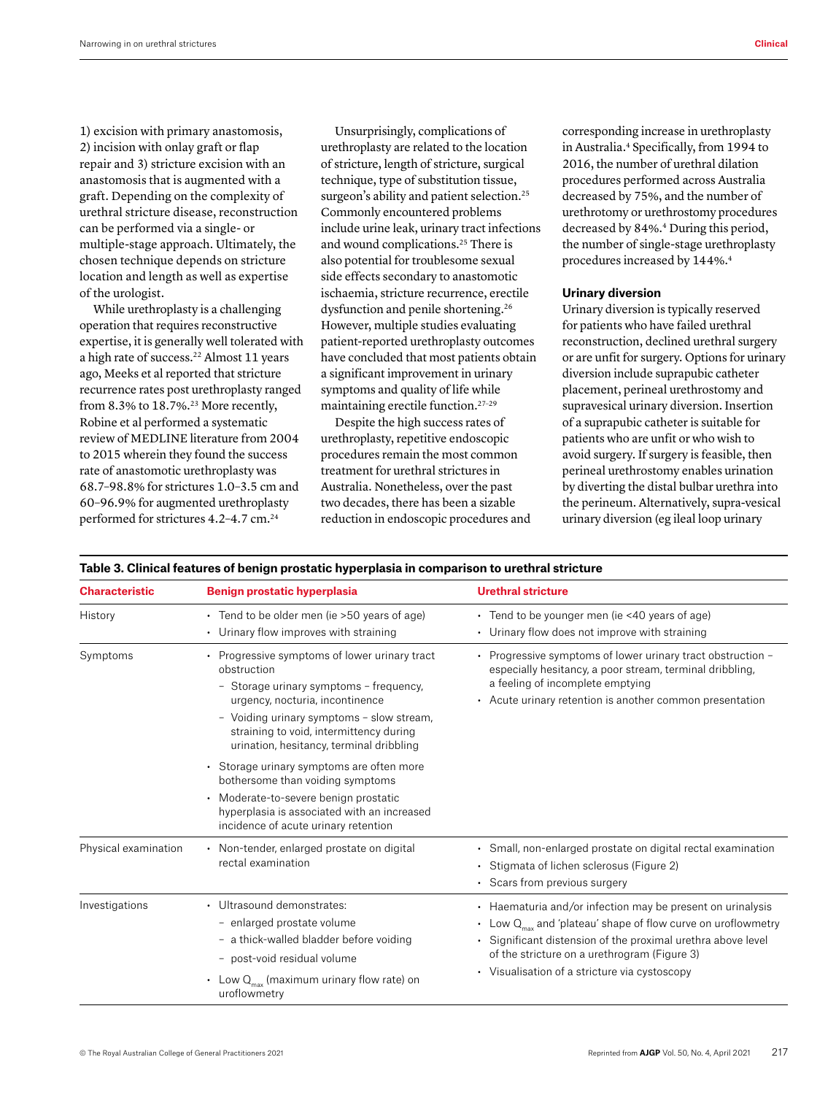1) excision with primary anastomosis, 2) incision with onlay graft or flap repair and 3) stricture excision with an anastomosis that is augmented with a graft. Depending on the complexity of urethral stricture disease, reconstruction can be performed via a single- or multiple-stage approach. Ultimately, the chosen technique depends on stricture location and length as well as expertise of the urologist.

While urethroplasty is a challenging operation that requires reconstructive expertise, it is generally well tolerated with a high rate of success.<sup>22</sup> Almost 11 years ago, Meeks et al reported that stricture recurrence rates post urethroplasty ranged from 8.3% to  $18.7\%$ .<sup>23</sup> More recently, Robine et al performed a systematic review of MEDLINE literature from 2004 to 2015 wherein they found the success rate of anastomotic urethroplasty was 68.7–98.8% for strictures 1.0–3.5 cm and 60–96.9% for augmented urethroplasty performed for strictures 4.2-4.7 cm.<sup>24</sup>

Unsurprisingly, complications of urethroplasty are related to the location of stricture, length of stricture, surgical technique, type of substitution tissue, surgeon's ability and patient selection.<sup>25</sup> Commonly encountered problems include urine leak, urinary tract infections and wound complications.25 There is also potential for troublesome sexual side effects secondary to anastomotic ischaemia, stricture recurrence, erectile dysfunction and penile shortening.<sup>26</sup> However, multiple studies evaluating patient-reported urethroplasty outcomes have concluded that most patients obtain a significant improvement in urinary symptoms and quality of life while maintaining erectile function.27–29

Despite the high success rates of urethroplasty, repetitive endoscopic procedures remain the most common treatment for urethral strictures in Australia. Nonetheless, over the past two decades, there has been a sizable reduction in endoscopic procedures and corresponding increase in urethroplasty in Australia.<sup>4</sup> Specifically, from 1994 to 2016, the number of urethral dilation procedures performed across Australia decreased by 75%, and the number of urethrotomy or urethrostomy procedures decreased by 84%.4 During this period, the number of single-stage urethroplasty procedures increased by 144%.<sup>4</sup>

## **Urinary diversion**

Urinary diversion is typically reserved for patients who have failed urethral reconstruction, declined urethral surgery or are unfit for surgery. Options for urinary diversion include suprapubic catheter placement, perineal urethrostomy and supravesical urinary diversion. Insertion of a suprapubic catheter is suitable for patients who are unfit or who wish to avoid surgery. If surgery is feasible, then perineal urethrostomy enables urination by diverting the distal bulbar urethra into the perineum. Alternatively, supra-vesical urinary diversion (eg ileal loop urinary

| <b>Characteristic</b> | Benign prostatic hyperplasia                                                                                                                                                                                                                                                                                                                                                                                                                                                                  | <b>Urethral stricture</b>                                                                                                                                                                                                                                                                        |
|-----------------------|-----------------------------------------------------------------------------------------------------------------------------------------------------------------------------------------------------------------------------------------------------------------------------------------------------------------------------------------------------------------------------------------------------------------------------------------------------------------------------------------------|--------------------------------------------------------------------------------------------------------------------------------------------------------------------------------------------------------------------------------------------------------------------------------------------------|
| History               | • Tend to be older men (ie > 50 years of age)<br>• Urinary flow improves with straining                                                                                                                                                                                                                                                                                                                                                                                                       | • Tend to be younger men (ie <40 years of age)<br>• Urinary flow does not improve with straining                                                                                                                                                                                                 |
| Symptoms              | • Progressive symptoms of lower urinary tract<br>obstruction<br>- Storage urinary symptoms - frequency,<br>urgency, nocturia, incontinence<br>- Voiding urinary symptoms - slow stream,<br>straining to void, intermittency during<br>urination, hesitancy, terminal dribbling<br>• Storage urinary symptoms are often more<br>bothersome than voiding symptoms<br>Moderate-to-severe benign prostatic<br>hyperplasia is associated with an increased<br>incidence of acute urinary retention | • Progressive symptoms of lower urinary tract obstruction -<br>especially hesitancy, a poor stream, terminal dribbling,<br>a feeling of incomplete emptying<br>Acute urinary retention is another common presentation                                                                            |
| Physical examination  | • Non-tender, enlarged prostate on digital<br>rectal examination                                                                                                                                                                                                                                                                                                                                                                                                                              | • Small, non-enlarged prostate on digital rectal examination<br>• Stigmata of lichen sclerosus (Figure 2)<br>Scars from previous surgery                                                                                                                                                         |
| Investigations        | • Ultrasound demonstrates:<br>- enlarged prostate volume<br>- a thick-walled bladder before voiding<br>- post-void residual volume<br>Low $Q_{\text{max}}$ (maximum urinary flow rate) on<br>uroflowmetry                                                                                                                                                                                                                                                                                     | • Haematuria and/or infection may be present on urinalysis<br>• Low $Q_{max}$ and 'plateau' shape of flow curve on uroflowmetry<br>• Significant distension of the proximal urethra above level<br>of the stricture on a urethrogram (Figure 3)<br>• Visualisation of a stricture via cystoscopy |

# **Table 3. Clinical features of benign prostatic hyperplasia in comparison to urethral stricture**